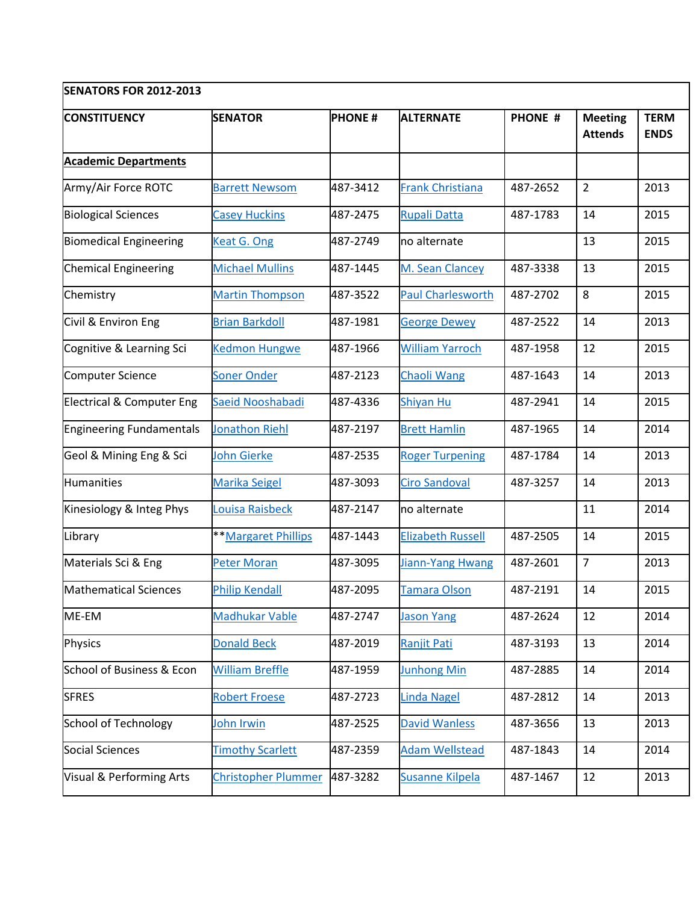| <b>SENATORS FOR 2012-2013</b>   |                            |               |                          |                |                                  |                            |  |  |  |  |
|---------------------------------|----------------------------|---------------|--------------------------|----------------|----------------------------------|----------------------------|--|--|--|--|
| <b>CONSTITUENCY</b>             | <b>SENATOR</b>             | <b>PHONE#</b> | <b>ALTERNATE</b>         | <b>PHONE #</b> | <b>Meeting</b><br><b>Attends</b> | <b>TERM</b><br><b>ENDS</b> |  |  |  |  |
| <b>Academic Departments</b>     |                            |               |                          |                |                                  |                            |  |  |  |  |
| Army/Air Force ROTC             | <b>Barrett Newsom</b>      | 487-3412      | <b>Frank Christiana</b>  | 487-2652       | $\overline{2}$                   | 2013                       |  |  |  |  |
| <b>Biological Sciences</b>      | <b>Casey Huckins</b>       | 487-2475      | <b>Rupali Datta</b>      | 487-1783       | 14                               | 2015                       |  |  |  |  |
| <b>Biomedical Engineering</b>   | Keat G. Ong                | 487-2749      | no alternate             |                | 13                               | 2015                       |  |  |  |  |
| <b>Chemical Engineering</b>     | <b>Michael Mullins</b>     | 487-1445      | M. Sean Clancey          | 487-3338       | 13                               | 2015                       |  |  |  |  |
| Chemistry                       | <b>Martin Thompson</b>     | 487-3522      | <b>Paul Charlesworth</b> | 487-2702       | 8                                | 2015                       |  |  |  |  |
| Civil & Environ Eng             | <b>Brian Barkdoll</b>      | 487-1981      | <b>George Dewey</b>      | 487-2522       | 14                               | 2013                       |  |  |  |  |
| Cognitive & Learning Sci        | <b>Kedmon Hungwe</b>       | 487-1966      | <b>William Yarroch</b>   | 487-1958       | 12                               | 2015                       |  |  |  |  |
| Computer Science                | <b>Soner Onder</b>         | 487-2123      | <b>Chaoli Wang</b>       | 487-1643       | 14                               | 2013                       |  |  |  |  |
| Electrical & Computer Eng       | Saeid Nooshabadi           | 487-4336      | <b>Shiyan Hu</b>         | 487-2941       | 14                               | 2015                       |  |  |  |  |
| <b>Engineering Fundamentals</b> | <b>Jonathon Riehl</b>      | 487-2197      | <b>Brett Hamlin</b>      | 487-1965       | 14                               | 2014                       |  |  |  |  |
| Geol & Mining Eng & Sci         | John Gierke                | 487-2535      | <b>Roger Turpening</b>   | 487-1784       | 14                               | 2013                       |  |  |  |  |
| Humanities                      | <b>Marika Seigel</b>       | 487-3093      | <b>Ciro Sandoval</b>     | 487-3257       | 14                               | 2013                       |  |  |  |  |
| Kinesiology & Integ Phys        | Louisa Raisbeck            | 487-2147      | no alternate             |                | 11                               | 2014                       |  |  |  |  |
| Library                         | <b>**Margaret Phillips</b> | 487-1443      | <b>Elizabeth Russell</b> | 487-2505       | 14                               | 2015                       |  |  |  |  |
| Materials Sci & Eng             | <b>Peter Moran</b>         | 487-3095      | Jiann-Yang Hwang         | 487-2601       | $\overline{7}$                   | 2013                       |  |  |  |  |
| <b>Mathematical Sciences</b>    | <b>Philip Kendall</b>      | 487-2095      | Tamara Olson             | 487-2191       | 14                               | 2015                       |  |  |  |  |
| ME-EM                           | Madhukar Vable             | 487-2747      | <b>Jason Yang</b>        | 487-2624       | 12                               | 2014                       |  |  |  |  |
| <b>Physics</b>                  | <b>Donald Beck</b>         | 487-2019      | Ranjit Pati              | 487-3193       | 13                               | 2014                       |  |  |  |  |
| School of Business & Econ       | <b>William Breffle</b>     | 487-1959      | <b>Junhong Min</b>       | 487-2885       | 14                               | 2014                       |  |  |  |  |
| <b>SFRES</b>                    | <b>Robert Froese</b>       | 487-2723      | <b>Linda Nagel</b>       | 487-2812       | 14                               | 2013                       |  |  |  |  |
| School of Technology            | John Irwin                 | 487-2525      | <b>David Wanless</b>     | 487-3656       | 13                               | 2013                       |  |  |  |  |
| <b>Social Sciences</b>          | <b>Timothy Scarlett</b>    | 487-2359      | <b>Adam Wellstead</b>    | 487-1843       | 14                               | 2014                       |  |  |  |  |
| Visual & Performing Arts        | <b>Christopher Plummer</b> | 487-3282      | <b>Susanne Kilpela</b>   | 487-1467       | 12                               | 2013                       |  |  |  |  |